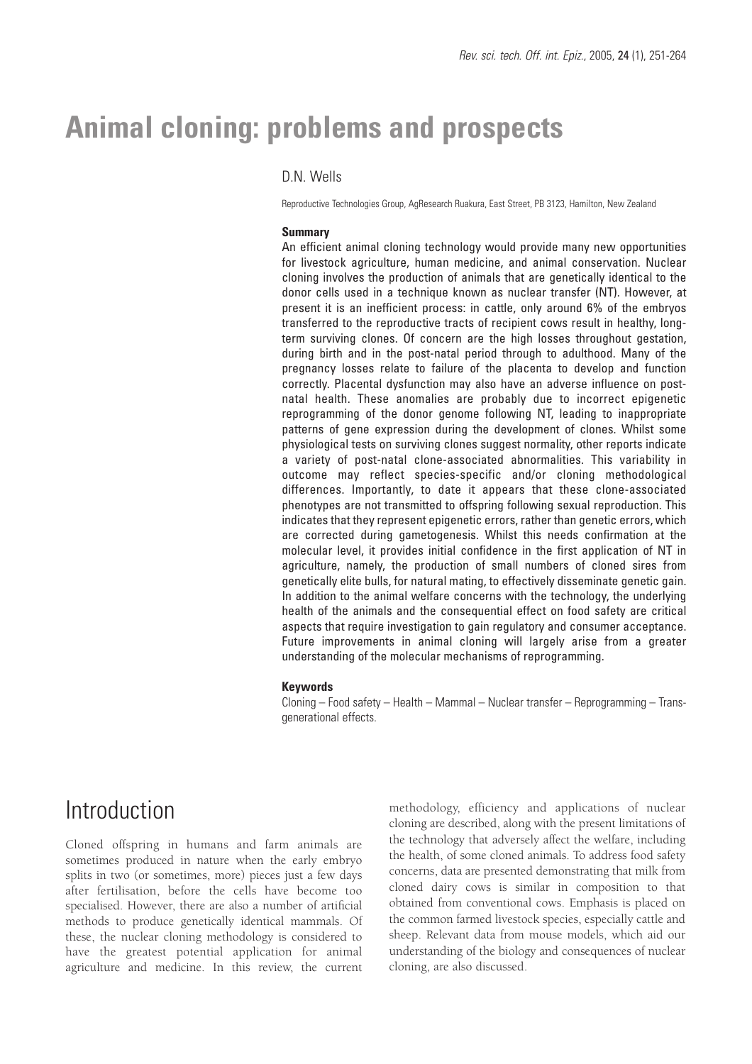# **Animal cloning: problems and prospects**

## D.N. Wells

Reproductive Technologies Group, AgResearch Ruakura, East Street, PB 3123, Hamilton, New Zealand

#### **Summary**

An efficient animal cloning technology would provide many new opportunities for livestock agriculture, human medicine, and animal conservation. Nuclear cloning involves the production of animals that are genetically identical to the donor cells used in a technique known as nuclear transfer (NT). However, at present it is an inefficient process: in cattle, only around 6% of the embryos transferred to the reproductive tracts of recipient cows result in healthy, longterm surviving clones. Of concern are the high losses throughout gestation, during birth and in the post-natal period through to adulthood. Many of the pregnancy losses relate to failure of the placenta to develop and function correctly. Placental dysfunction may also have an adverse influence on postnatal health. These anomalies are probably due to incorrect epigenetic reprogramming of the donor genome following NT, leading to inappropriate patterns of gene expression during the development of clones. Whilst some physiological tests on surviving clones suggest normality, other reports indicate a variety of post-natal clone-associated abnormalities. This variability in outcome may reflect species-specific and/or cloning methodological differences. Importantly, to date it appears that these clone-associated phenotypes are not transmitted to offspring following sexual reproduction. This indicates that they represent epigenetic errors, rather than genetic errors, which are corrected during gametogenesis. Whilst this needs confirmation at the molecular level, it provides initial confidence in the first application of NT in agriculture, namely, the production of small numbers of cloned sires from genetically elite bulls, for natural mating, to effectively disseminate genetic gain. In addition to the animal welfare concerns with the technology, the underlying health of the animals and the consequential effect on food safety are critical aspects that require investigation to gain regulatory and consumer acceptance. Future improvements in animal cloning will largely arise from a greater understanding of the molecular mechanisms of reprogramming.

#### **Keywords**

Cloning – Food safety – Health – Mammal – Nuclear transfer – Reprogramming – Transgenerational effects.

# Introduction

Cloned offspring in humans and farm animals are sometimes produced in nature when the early embryo splits in two (or sometimes, more) pieces just a few days after fertilisation, before the cells have become too specialised. However, there are also a number of artificial methods to produce genetically identical mammals. Of these, the nuclear cloning methodology is considered to have the greatest potential application for animal agriculture and medicine. In this review, the current methodology, efficiency and applications of nuclear cloning are described, along with the present limitations of the technology that adversely affect the welfare, including the health, of some cloned animals. To address food safety concerns, data are presented demonstrating that milk from cloned dairy cows is similar in composition to that obtained from conventional cows. Emphasis is placed on the common farmed livestock species, especially cattle and sheep. Relevant data from mouse models, which aid our understanding of the biology and consequences of nuclear cloning, are also discussed.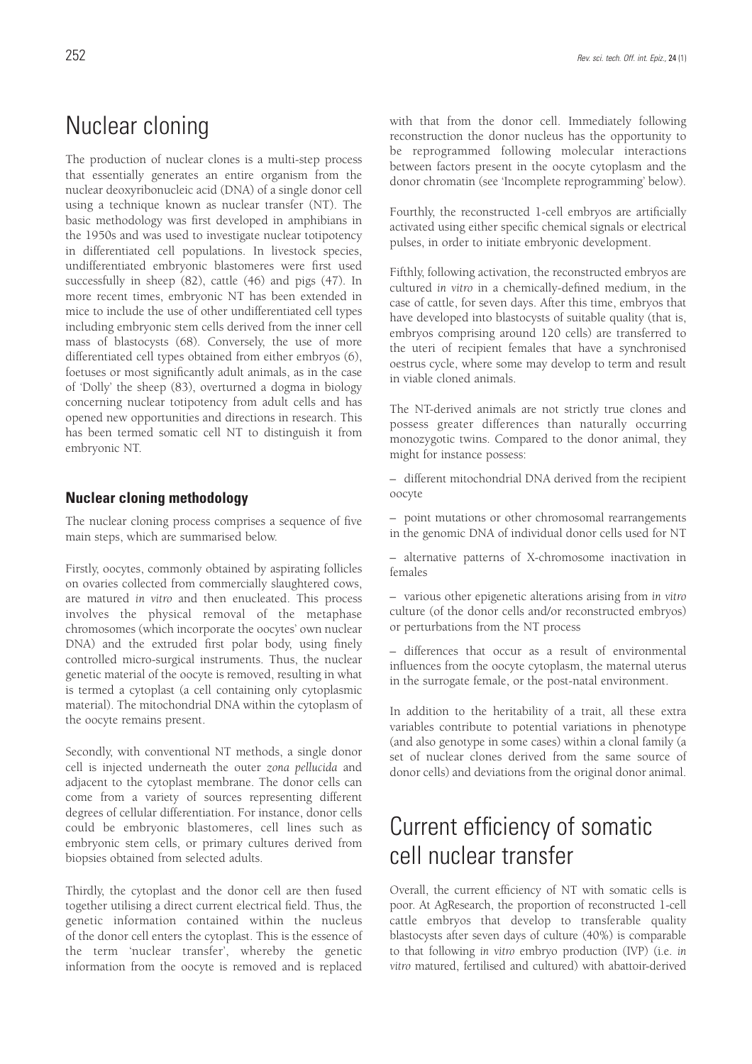The production of nuclear clones is a multi-step process that essentially generates an entire organism from the nuclear deoxyribonucleic acid (DNA) of a single donor cell using a technique known as nuclear transfer (NT). The basic methodology was first developed in amphibians in the 1950s and was used to investigate nuclear totipotency in differentiated cell populations. In livestock species, undifferentiated embryonic blastomeres were first used successfully in sheep (82), cattle (46) and pigs (47). In more recent times, embryonic NT has been extended in mice to include the use of other undifferentiated cell types including embryonic stem cells derived from the inner cell mass of blastocysts (68). Conversely, the use of more differentiated cell types obtained from either embryos (6), foetuses or most significantly adult animals, as in the case of 'Dolly' the sheep (83), overturned a dogma in biology concerning nuclear totipotency from adult cells and has opened new opportunities and directions in research. This has been termed somatic cell NT to distinguish it from embryonic NT.

## **Nuclear cloning methodology**

The nuclear cloning process comprises a sequence of five main steps, which are summarised below.

Firstly, oocytes, commonly obtained by aspirating follicles on ovaries collected from commercially slaughtered cows, are matured *in vitro* and then enucleated. This process involves the physical removal of the metaphase chromosomes (which incorporate the oocytes' own nuclear DNA) and the extruded first polar body, using finely controlled micro-surgical instruments. Thus, the nuclear genetic material of the oocyte is removed, resulting in what is termed a cytoplast (a cell containing only cytoplasmic material). The mitochondrial DNA within the cytoplasm of the oocyte remains present.

Secondly, with conventional NT methods, a single donor cell is injected underneath the outer *zona pellucida* and adjacent to the cytoplast membrane. The donor cells can come from a variety of sources representing different degrees of cellular differentiation. For instance, donor cells could be embryonic blastomeres, cell lines such as embryonic stem cells, or primary cultures derived from biopsies obtained from selected adults.

Thirdly, the cytoplast and the donor cell are then fused together utilising a direct current electrical field. Thus, the genetic information contained within the nucleus of the donor cell enters the cytoplast. This is the essence of the term 'nuclear transfer', whereby the genetic information from the oocyte is removed and is replaced with that from the donor cell. Immediately following reconstruction the donor nucleus has the opportunity to be reprogrammed following molecular interactions between factors present in the oocyte cytoplasm and the donor chromatin (see 'Incomplete reprogramming' below).

Fourthly, the reconstructed 1-cell embryos are artificially activated using either specific chemical signals or electrical pulses, in order to initiate embryonic development.

Fifthly, following activation, the reconstructed embryos are cultured *in vitro* in a chemically-defined medium, in the case of cattle, for seven days. After this time, embryos that have developed into blastocysts of suitable quality (that is, embryos comprising around 120 cells) are transferred to the uteri of recipient females that have a synchronised oestrus cycle, where some may develop to term and result in viable cloned animals.

The NT-derived animals are not strictly true clones and possess greater differences than naturally occurring monozygotic twins. Compared to the donor animal, they might for instance possess:

– different mitochondrial DNA derived from the recipient oocyte

– point mutations or other chromosomal rearrangements in the genomic DNA of individual donor cells used for NT

– alternative patterns of X-chromosome inactivation in females

– various other epigenetic alterations arising from *in vitro* culture (of the donor cells and/or reconstructed embryos) or perturbations from the NT process

– differences that occur as a result of environmental influences from the oocyte cytoplasm, the maternal uterus in the surrogate female, or the post-natal environment.

In addition to the heritability of a trait, all these extra variables contribute to potential variations in phenotype (and also genotype in some cases) within a clonal family (a set of nuclear clones derived from the same source of donor cells) and deviations from the original donor animal.

# Current efficiency of somatic cell nuclear transfer

Overall, the current efficiency of NT with somatic cells is poor. At AgResearch, the proportion of reconstructed 1-cell cattle embryos that develop to transferable quality blastocysts after seven days of culture (40%) is comparable to that following *in vitro* embryo production (IVP) (i.e. *in vitro* matured, fertilised and cultured) with abattoir-derived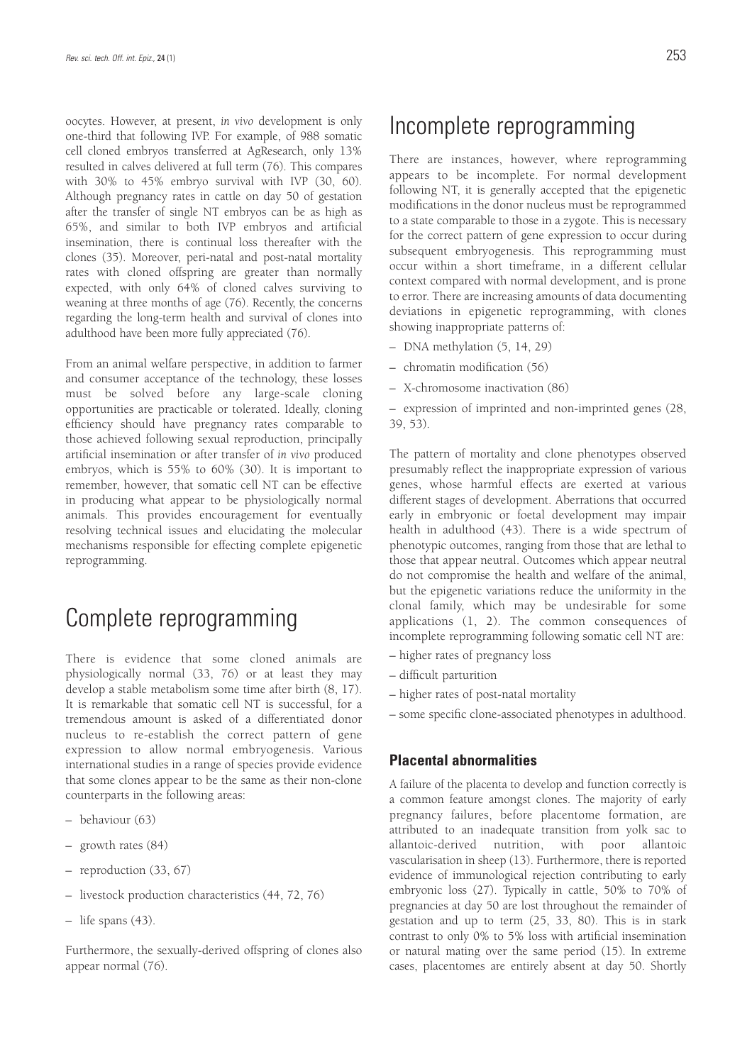oocytes. However, at present, *in vivo* development is only one-third that following IVP. For example, of 988 somatic cell cloned embryos transferred at AgResearch, only 13% resulted in calves delivered at full term (76). This compares with 30% to 45% embryo survival with IVP (30, 60). Although pregnancy rates in cattle on day 50 of gestation after the transfer of single NT embryos can be as high as 65%, and similar to both IVP embryos and artificial insemination, there is continual loss thereafter with the clones (35). Moreover, peri-natal and post-natal mortality rates with cloned offspring are greater than normally expected, with only 64% of cloned calves surviving to weaning at three months of age (76). Recently, the concerns regarding the long-term health and survival of clones into adulthood have been more fully appreciated (76).

From an animal welfare perspective, in addition to farmer and consumer acceptance of the technology, these losses must be solved before any large-scale cloning opportunities are practicable or tolerated. Ideally, cloning efficiency should have pregnancy rates comparable to those achieved following sexual reproduction, principally artificial insemination or after transfer of *in vivo* produced embryos, which is 55% to 60% (30). It is important to remember, however, that somatic cell NT can be effective in producing what appear to be physiologically normal animals. This provides encouragement for eventually resolving technical issues and elucidating the molecular mechanisms responsible for effecting complete epigenetic reprogramming.

# Complete reprogramming

There is evidence that some cloned animals are physiologically normal (33, 76) or at least they may develop a stable metabolism some time after birth (8, 17). It is remarkable that somatic cell NT is successful, for a tremendous amount is asked of a differentiated donor nucleus to re-establish the correct pattern of gene expression to allow normal embryogenesis. Various international studies in a range of species provide evidence that some clones appear to be the same as their non-clone counterparts in the following areas:

- behaviour (63)
- growth rates (84)
- reproduction (33, 67)
- livestock production characteristics (44, 72, 76)
- life spans (43).

Furthermore, the sexually-derived offspring of clones also appear normal (76).

# Incomplete reprogramming

There are instances, however, where reprogramming appears to be incomplete. For normal development following NT, it is generally accepted that the epigenetic modifications in the donor nucleus must be reprogrammed to a state comparable to those in a zygote. This is necessary for the correct pattern of gene expression to occur during subsequent embryogenesis. This reprogramming must occur within a short timeframe, in a different cellular context compared with normal development, and is prone to error. There are increasing amounts of data documenting deviations in epigenetic reprogramming, with clones showing inappropriate patterns of:

- DNA methylation (5, 14, 29)
- chromatin modification (56)
- X-chromosome inactivation (86)

– expression of imprinted and non-imprinted genes (28, 39, 53).

The pattern of mortality and clone phenotypes observed presumably reflect the inappropriate expression of various genes, whose harmful effects are exerted at various different stages of development. Aberrations that occurred early in embryonic or foetal development may impair health in adulthood (43). There is a wide spectrum of phenotypic outcomes, ranging from those that are lethal to those that appear neutral. Outcomes which appear neutral do not compromise the health and welfare of the animal, but the epigenetic variations reduce the uniformity in the clonal family, which may be undesirable for some applications (1, 2). The common consequences of incomplete reprogramming following somatic cell NT are:

- higher rates of pregnancy loss
- difficult parturition
- higher rates of post-natal mortality
- some specific clone-associated phenotypes in adulthood.

### **Placental abnormalities**

A failure of the placenta to develop and function correctly is a common feature amongst clones. The majority of early pregnancy failures, before placentome formation, are attributed to an inadequate transition from yolk sac to allantoic-derived nutrition, with poor allantoic vascularisation in sheep (13). Furthermore, there is reported evidence of immunological rejection contributing to early embryonic loss (27). Typically in cattle, 50% to 70% of pregnancies at day 50 are lost throughout the remainder of gestation and up to term (25, 33, 80). This is in stark contrast to only 0% to 5% loss with artificial insemination or natural mating over the same period (15). In extreme cases, placentomes are entirely absent at day 50. Shortly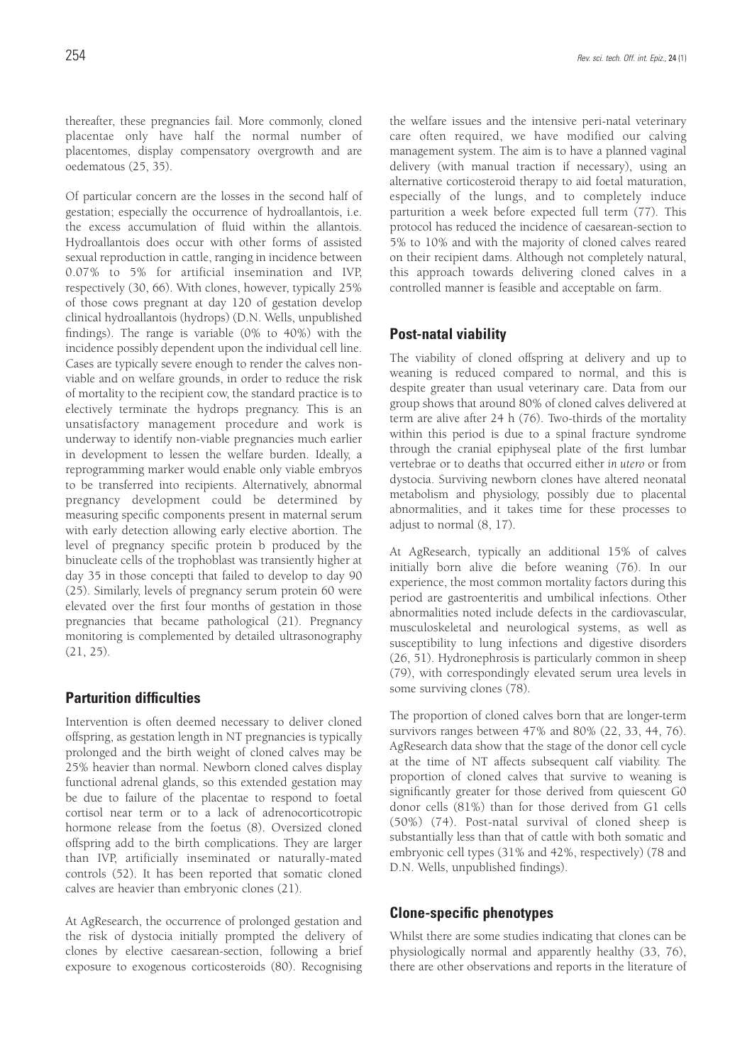thereafter, these pregnancies fail. More commonly, cloned placentae only have half the normal number of placentomes, display compensatory overgrowth and are oedematous (25, 35).

Of particular concern are the losses in the second half of gestation; especially the occurrence of hydroallantois, i.e. the excess accumulation of fluid within the allantois. Hydroallantois does occur with other forms of assisted sexual reproduction in cattle, ranging in incidence between 0.07% to 5% for artificial insemination and IVP, respectively (30, 66). With clones, however, typically 25% of those cows pregnant at day 120 of gestation develop clinical hydroallantois (hydrops) (D.N. Wells, unpublished findings). The range is variable (0% to 40%) with the incidence possibly dependent upon the individual cell line. Cases are typically severe enough to render the calves nonviable and on welfare grounds, in order to reduce the risk of mortality to the recipient cow, the standard practice is to electively terminate the hydrops pregnancy. This is an unsatisfactory management procedure and work is underway to identify non-viable pregnancies much earlier in development to lessen the welfare burden. Ideally, a reprogramming marker would enable only viable embryos to be transferred into recipients. Alternatively, abnormal pregnancy development could be determined by measuring specific components present in maternal serum with early detection allowing early elective abortion. The level of pregnancy specific protein b produced by the binucleate cells of the trophoblast was transiently higher at day 35 in those concepti that failed to develop to day 90 (25). Similarly, levels of pregnancy serum protein 60 were elevated over the first four months of gestation in those pregnancies that became pathological (21). Pregnancy monitoring is complemented by detailed ultrasonography (21, 25).

### **Parturition difficulties**

Intervention is often deemed necessary to deliver cloned offspring, as gestation length in NT pregnancies is typically prolonged and the birth weight of cloned calves may be 25% heavier than normal. Newborn cloned calves display functional adrenal glands, so this extended gestation may be due to failure of the placentae to respond to foetal cortisol near term or to a lack of adrenocorticotropic hormone release from the foetus (8). Oversized cloned offspring add to the birth complications. They are larger than IVP, artificially inseminated or naturally-mated controls (52). It has been reported that somatic cloned calves are heavier than embryonic clones (21).

At AgResearch, the occurrence of prolonged gestation and the risk of dystocia initially prompted the delivery of clones by elective caesarean-section, following a brief exposure to exogenous corticosteroids (80). Recognising the welfare issues and the intensive peri-natal veterinary care often required, we have modified our calving management system. The aim is to have a planned vaginal delivery (with manual traction if necessary), using an alternative corticosteroid therapy to aid foetal maturation, especially of the lungs, and to completely induce parturition a week before expected full term (77). This protocol has reduced the incidence of caesarean-section to 5% to 10% and with the majority of cloned calves reared on their recipient dams. Although not completely natural, this approach towards delivering cloned calves in a controlled manner is feasible and acceptable on farm.

### **Post-natal viability**

The viability of cloned offspring at delivery and up to weaning is reduced compared to normal, and this is despite greater than usual veterinary care. Data from our group shows that around 80% of cloned calves delivered at term are alive after 24 h (76). Two-thirds of the mortality within this period is due to a spinal fracture syndrome through the cranial epiphyseal plate of the first lumbar vertebrae or to deaths that occurred either *in utero* or from dystocia. Surviving newborn clones have altered neonatal metabolism and physiology, possibly due to placental abnormalities, and it takes time for these processes to adjust to normal (8, 17).

At AgResearch, typically an additional 15% of calves initially born alive die before weaning (76). In our experience, the most common mortality factors during this period are gastroenteritis and umbilical infections. Other abnormalities noted include defects in the cardiovascular, musculoskeletal and neurological systems, as well as susceptibility to lung infections and digestive disorders (26, 51). Hydronephrosis is particularly common in sheep (79), with correspondingly elevated serum urea levels in some surviving clones (78).

The proportion of cloned calves born that are longer-term survivors ranges between 47% and 80% (22, 33, 44, 76). AgResearch data show that the stage of the donor cell cycle at the time of NT affects subsequent calf viability. The proportion of cloned calves that survive to weaning is significantly greater for those derived from quiescent G0 donor cells (81%) than for those derived from G1 cells (50%) (74). Post-natal survival of cloned sheep is substantially less than that of cattle with both somatic and embryonic cell types (31% and 42%, respectively) (78 and D.N. Wells, unpublished findings).

### **Clone-specific phenotypes**

Whilst there are some studies indicating that clones can be physiologically normal and apparently healthy (33, 76), there are other observations and reports in the literature of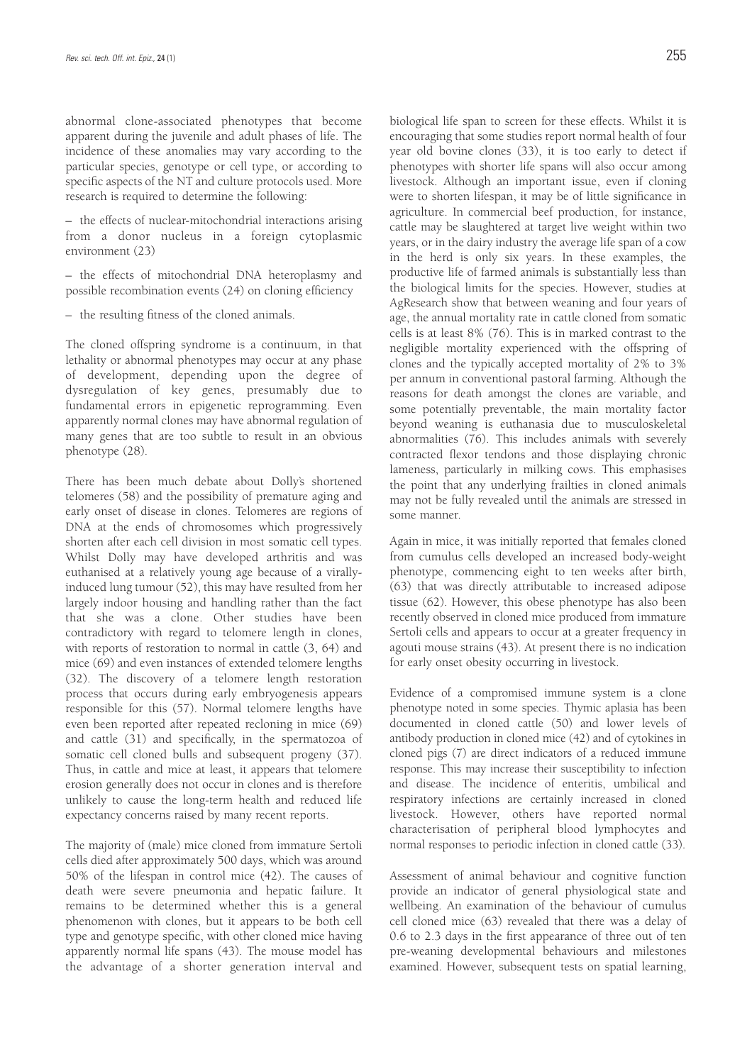abnormal clone-associated phenotypes that become apparent during the juvenile and adult phases of life. The incidence of these anomalies may vary according to the particular species, genotype or cell type, or according to specific aspects of the NT and culture protocols used. More research is required to determine the following:

– the effects of nuclear-mitochondrial interactions arising from a donor nucleus in a foreign cytoplasmic environment (23)

– the effects of mitochondrial DNA heteroplasmy and possible recombination events (24) on cloning efficiency

– the resulting fitness of the cloned animals.

The cloned offspring syndrome is a continuum, in that lethality or abnormal phenotypes may occur at any phase of development, depending upon the degree of dysregulation of key genes, presumably due to fundamental errors in epigenetic reprogramming. Even apparently normal clones may have abnormal regulation of many genes that are too subtle to result in an obvious phenotype (28).

There has been much debate about Dolly's shortened telomeres (58) and the possibility of premature aging and early onset of disease in clones. Telomeres are regions of DNA at the ends of chromosomes which progressively shorten after each cell division in most somatic cell types. Whilst Dolly may have developed arthritis and was euthanised at a relatively young age because of a virallyinduced lung tumour (52), this may have resulted from her largely indoor housing and handling rather than the fact that she was a clone. Other studies have been contradictory with regard to telomere length in clones, with reports of restoration to normal in cattle (3, 64) and mice (69) and even instances of extended telomere lengths (32). The discovery of a telomere length restoration process that occurs during early embryogenesis appears responsible for this (57). Normal telomere lengths have even been reported after repeated recloning in mice (69) and cattle (31) and specifically, in the spermatozoa of somatic cell cloned bulls and subsequent progeny (37). Thus, in cattle and mice at least, it appears that telomere erosion generally does not occur in clones and is therefore unlikely to cause the long-term health and reduced life expectancy concerns raised by many recent reports.

The majority of (male) mice cloned from immature Sertoli cells died after approximately 500 days, which was around 50% of the lifespan in control mice (42). The causes of death were severe pneumonia and hepatic failure. It remains to be determined whether this is a general phenomenon with clones, but it appears to be both cell type and genotype specific, with other cloned mice having apparently normal life spans (43). The mouse model has the advantage of a shorter generation interval and

biological life span to screen for these effects. Whilst it is encouraging that some studies report normal health of four year old bovine clones (33), it is too early to detect if phenotypes with shorter life spans will also occur among livestock. Although an important issue, even if cloning were to shorten lifespan, it may be of little significance in agriculture. In commercial beef production, for instance, cattle may be slaughtered at target live weight within two years, or in the dairy industry the average life span of a cow in the herd is only six years. In these examples, the productive life of farmed animals is substantially less than the biological limits for the species. However, studies at AgResearch show that between weaning and four years of age, the annual mortality rate in cattle cloned from somatic cells is at least 8% (76). This is in marked contrast to the negligible mortality experienced with the offspring of clones and the typically accepted mortality of 2% to 3% per annum in conventional pastoral farming. Although the reasons for death amongst the clones are variable, and some potentially preventable, the main mortality factor beyond weaning is euthanasia due to musculoskeletal abnormalities (76). This includes animals with severely contracted flexor tendons and those displaying chronic lameness, particularly in milking cows. This emphasises the point that any underlying frailties in cloned animals may not be fully revealed until the animals are stressed in some manner.

Again in mice, it was initially reported that females cloned from cumulus cells developed an increased body-weight phenotype, commencing eight to ten weeks after birth, (63) that was directly attributable to increased adipose tissue (62). However, this obese phenotype has also been recently observed in cloned mice produced from immature Sertoli cells and appears to occur at a greater frequency in agouti mouse strains (43). At present there is no indication for early onset obesity occurring in livestock.

Evidence of a compromised immune system is a clone phenotype noted in some species. Thymic aplasia has been documented in cloned cattle (50) and lower levels of antibody production in cloned mice (42) and of cytokines in cloned pigs (7) are direct indicators of a reduced immune response. This may increase their susceptibility to infection and disease. The incidence of enteritis, umbilical and respiratory infections are certainly increased in cloned livestock. However, others have reported normal characterisation of peripheral blood lymphocytes and normal responses to periodic infection in cloned cattle (33).

Assessment of animal behaviour and cognitive function provide an indicator of general physiological state and wellbeing. An examination of the behaviour of cumulus cell cloned mice (63) revealed that there was a delay of 0.6 to 2.3 days in the first appearance of three out of ten pre-weaning developmental behaviours and milestones examined. However, subsequent tests on spatial learning,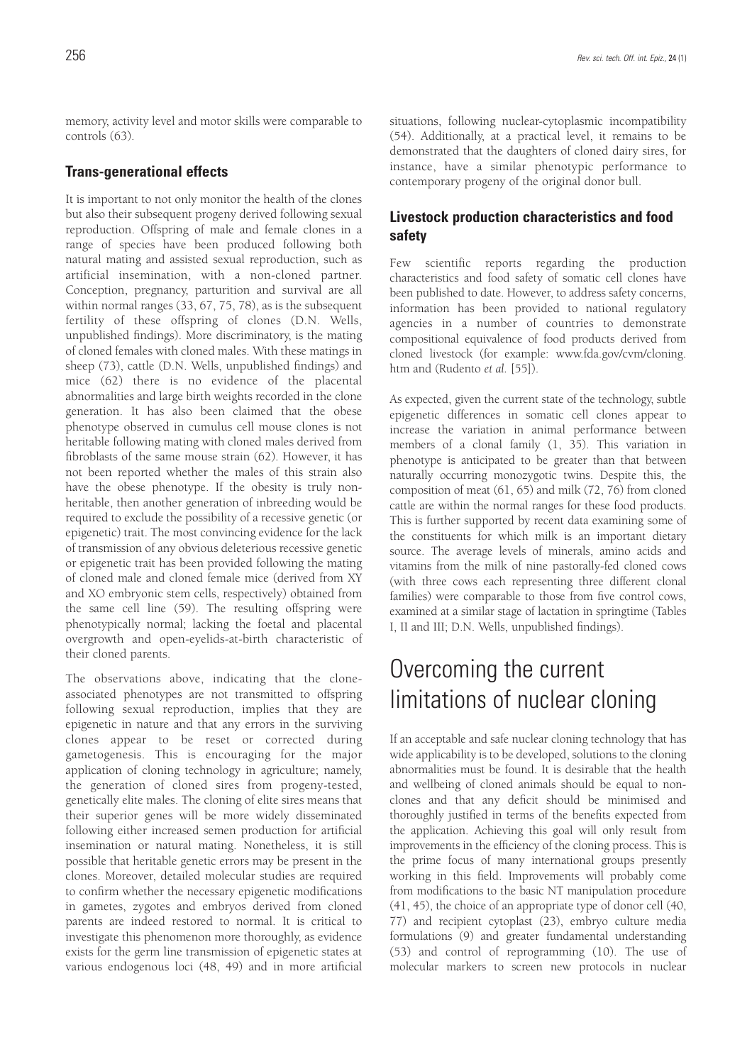memory, activity level and motor skills were comparable to controls (63).

### **Trans-generational effects**

It is important to not only monitor the health of the clones but also their subsequent progeny derived following sexual reproduction. Offspring of male and female clones in a range of species have been produced following both natural mating and assisted sexual reproduction, such as artificial insemination, with a non-cloned partner. Conception, pregnancy, parturition and survival are all within normal ranges (33, 67, 75, 78), as is the subsequent fertility of these offspring of clones (D.N. Wells, unpublished findings). More discriminatory, is the mating of cloned females with cloned males. With these matings in sheep (73), cattle (D.N. Wells, unpublished findings) and mice (62) there is no evidence of the placental abnormalities and large birth weights recorded in the clone generation. It has also been claimed that the obese phenotype observed in cumulus cell mouse clones is not heritable following mating with cloned males derived from fibroblasts of the same mouse strain (62). However, it has not been reported whether the males of this strain also have the obese phenotype. If the obesity is truly nonheritable, then another generation of inbreeding would be required to exclude the possibility of a recessive genetic (or epigenetic) trait. The most convincing evidence for the lack of transmission of any obvious deleterious recessive genetic or epigenetic trait has been provided following the mating of cloned male and cloned female mice (derived from XY and XO embryonic stem cells, respectively) obtained from the same cell line (59). The resulting offspring were phenotypically normal; lacking the foetal and placental overgrowth and open-eyelids-at-birth characteristic of their cloned parents.

The observations above, indicating that the cloneassociated phenotypes are not transmitted to offspring following sexual reproduction, implies that they are epigenetic in nature and that any errors in the surviving clones appear to be reset or corrected during gametogenesis. This is encouraging for the major application of cloning technology in agriculture; namely, the generation of cloned sires from progeny-tested, genetically elite males. The cloning of elite sires means that their superior genes will be more widely disseminated following either increased semen production for artificial insemination or natural mating. Nonetheless, it is still possible that heritable genetic errors may be present in the clones. Moreover, detailed molecular studies are required to confirm whether the necessary epigenetic modifications in gametes, zygotes and embryos derived from cloned parents are indeed restored to normal. It is critical to investigate this phenomenon more thoroughly, as evidence exists for the germ line transmission of epigenetic states at various endogenous loci (48, 49) and in more artificial

situations, following nuclear-cytoplasmic incompatibility (54). Additionally, at a practical level, it remains to be demonstrated that the daughters of cloned dairy sires, for instance, have a similar phenotypic performance to contemporary progeny of the original donor bull.

## **Livestock production characteristics and food safety**

Few scientific reports regarding the production characteristics and food safety of somatic cell clones have been published to date. However, to address safety concerns, information has been provided to national regulatory agencies in a number of countries to demonstrate compositional equivalence of food products derived from cloned livestock (for example: www.fda.gov/cvm/cloning. htm and (Rudento *et al.* [55]).

As expected, given the current state of the technology, subtle epigenetic differences in somatic cell clones appear to increase the variation in animal performance between members of a clonal family (1, 35). This variation in phenotype is anticipated to be greater than that between naturally occurring monozygotic twins. Despite this, the composition of meat (61, 65) and milk (72, 76) from cloned cattle are within the normal ranges for these food products. This is further supported by recent data examining some of the constituents for which milk is an important dietary source. The average levels of minerals, amino acids and vitamins from the milk of nine pastorally-fed cloned cows (with three cows each representing three different clonal families) were comparable to those from five control cows, examined at a similar stage of lactation in springtime (Tables I, II and III; D.N. Wells, unpublished findings).

# Overcoming the current limitations of nuclear cloning

If an acceptable and safe nuclear cloning technology that has wide applicability is to be developed, solutions to the cloning abnormalities must be found. It is desirable that the health and wellbeing of cloned animals should be equal to nonclones and that any deficit should be minimised and thoroughly justified in terms of the benefits expected from the application. Achieving this goal will only result from improvements in the efficiency of the cloning process. This is the prime focus of many international groups presently working in this field. Improvements will probably come from modifications to the basic NT manipulation procedure (41, 45), the choice of an appropriate type of donor cell (40, 77) and recipient cytoplast (23), embryo culture media formulations (9) and greater fundamental understanding (53) and control of reprogramming (10). The use of molecular markers to screen new protocols in nuclear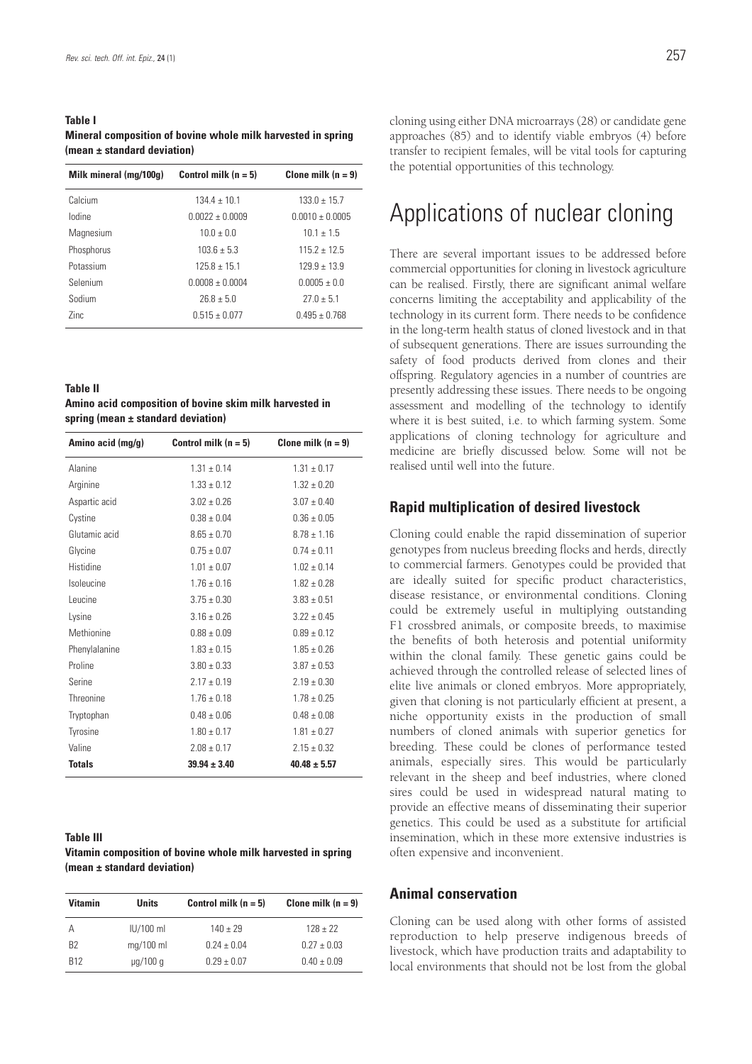### **Table I Mineral composition of bovine whole milk harvested in spring (mean ± standard deviation)**

| Milk mineral (mg/100g) | Control milk $(n = 5)$ | Clone milk $(n = 9)$ |
|------------------------|------------------------|----------------------|
| Calcium                | $134.4 \pm 10.1$       | $133.0 \pm 15.7$     |
| lodine                 | $0.0022 \pm 0.0009$    | $0.0010 \pm 0.0005$  |
| Magnesium              | $10.0 \pm 0.0$         | $10.1 \pm 1.5$       |
| Phosphorus             | $103.6 \pm 5.3$        | $115.2 \pm 12.5$     |
| Potassium              | $125.8 \pm 15.1$       | $129.9 + 13.9$       |
| Selenium               | $0.0008 + 0.0004$      | $0.0005 + 0.0$       |
| Sodium                 | $26.8 + 5.0$           | $27.0 + 5.1$         |
| 7inc                   | $0.515 + 0.077$        | $0.495 + 0.768$      |
|                        |                        |                      |

**Table II Amino acid composition of bovine skim milk harvested in spring (mean ± standard deviation)**

| Amino acid (mg/g) | Control milk $(n = 5)$ | Clone milk $(n = 9)$ |
|-------------------|------------------------|----------------------|
| Alanine           | $1.31 \pm 0.14$        | $1.31 \pm 0.17$      |
| Arginine          | $1.33 \pm 0.12$        | $1.32 \pm 0.20$      |
| Aspartic acid     | $3.02 \pm 0.26$        | $3.07 \pm 0.40$      |
| Cystine           | $0.38 \pm 0.04$        | $0.36 \pm 0.05$      |
| Glutamic acid     | $8.65 \pm 0.70$        | $8.78 \pm 1.16$      |
| Glycine           | $0.75 \pm 0.07$        | $0.74 \pm 0.11$      |
| Histidine         | $1.01 \pm 0.07$        | $1.02 \pm 0.14$      |
| Isoleucine        | $1.76 \pm 0.16$        | $1.82 + 0.28$        |
| Leucine           | $3.75 \pm 0.30$        | $3.83 \pm 0.51$      |
| Lysine            | $3.16 \pm 0.26$        | $3.22 \pm 0.45$      |
| Methionine        | $0.88 \pm 0.09$        | $0.89 \pm 0.12$      |
| Phenylalanine     | $1.83 \pm 0.15$        | $1.85 \pm 0.26$      |
| Proline           | $3.80 \pm 0.33$        | $3.87 \pm 0.53$      |
| Serine            | $2.17 \pm 0.19$        | $2.19 \pm 0.30$      |
| Threonine         | $1.76 \pm 0.18$        | $1.78 \pm 0.25$      |
| Tryptophan        | $0.48 \pm 0.06$        | $0.48 \pm 0.08$      |
| Tyrosine          | $1.80 \pm 0.17$        | $1.81 \pm 0.27$      |
| Valine            | $2.08 \pm 0.17$        | $2.15 \pm 0.32$      |
| <b>Totals</b>     | $39.94 \pm 3.40$       | $40.48 \pm 5.57$     |

### **Table III**

**Vitamin composition of bovine whole milk harvested in spring (mean ± standard deviation)**

| <b>Vitamin</b> | <b>Units</b>  | Control milk $(n = 5)$ | Clone milk $(n = 9)$ |
|----------------|---------------|------------------------|----------------------|
| Α              | $ U/100$ ml   | $140 + 29$             | $128 + 22$           |
| B <sub>2</sub> | $mq/100$ ml   | $0.24 + 0.04$          | $0.27 + 0.03$        |
| <b>R12</b>     | $\mu q/100 q$ | $0.29 + 0.07$          | $0.40 \pm 0.09$      |

cloning using either DNA microarrays (28) or candidate gene approaches (85) and to identify viable embryos (4) before transfer to recipient females, will be vital tools for capturing the potential opportunities of this technology.

# Applications of nuclear cloning

There are several important issues to be addressed before commercial opportunities for cloning in livestock agriculture can be realised. Firstly, there are significant animal welfare concerns limiting the acceptability and applicability of the technology in its current form. There needs to be confidence in the long-term health status of cloned livestock and in that of subsequent generations. There are issues surrounding the safety of food products derived from clones and their offspring. Regulatory agencies in a number of countries are presently addressing these issues. There needs to be ongoing assessment and modelling of the technology to identify where it is best suited, i.e. to which farming system. Some applications of cloning technology for agriculture and medicine are briefly discussed below. Some will not be realised until well into the future.

### **Rapid multiplication of desired livestock**

Cloning could enable the rapid dissemination of superior genotypes from nucleus breeding flocks and herds, directly to commercial farmers. Genotypes could be provided that are ideally suited for specific product characteristics, disease resistance, or environmental conditions. Cloning could be extremely useful in multiplying outstanding F1 crossbred animals, or composite breeds, to maximise the benefits of both heterosis and potential uniformity within the clonal family. These genetic gains could be achieved through the controlled release of selected lines of elite live animals or cloned embryos. More appropriately, given that cloning is not particularly efficient at present, a niche opportunity exists in the production of small numbers of cloned animals with superior genetics for breeding. These could be clones of performance tested animals, especially sires. This would be particularly relevant in the sheep and beef industries, where cloned sires could be used in widespread natural mating to provide an effective means of disseminating their superior genetics. This could be used as a substitute for artificial insemination, which in these more extensive industries is often expensive and inconvenient.

### **Animal conservation**

Cloning can be used along with other forms of assisted reproduction to help preserve indigenous breeds of livestock, which have production traits and adaptability to local environments that should not be lost from the global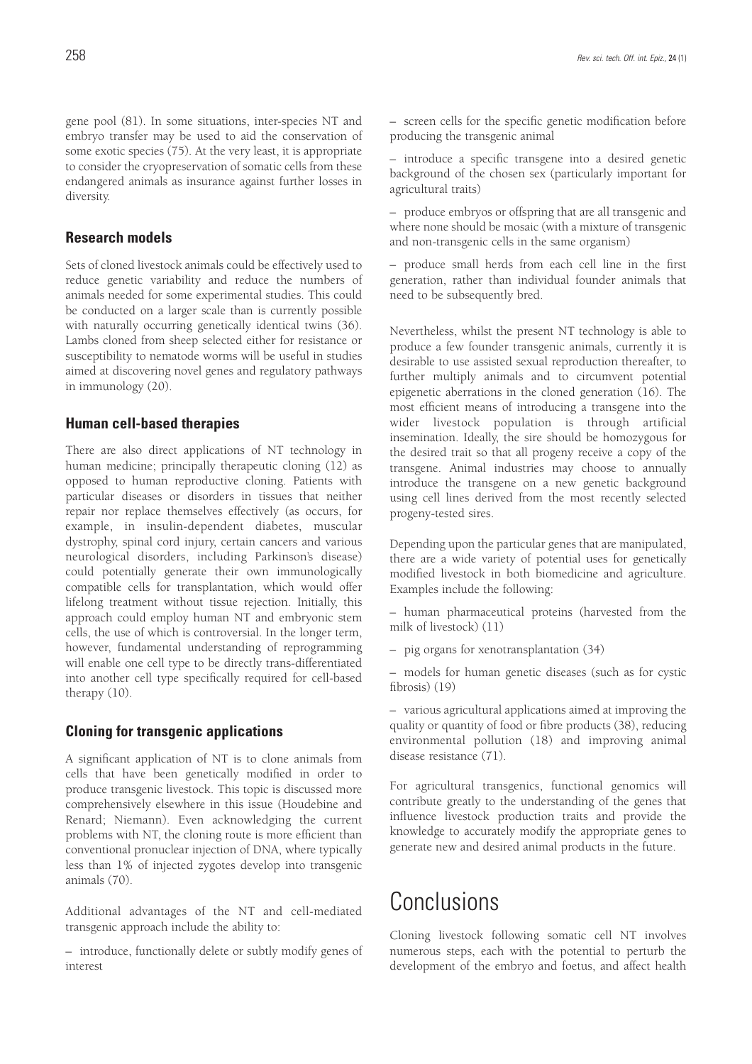gene pool (81). In some situations, inter-species NT and embryo transfer may be used to aid the conservation of some exotic species (75). At the very least, it is appropriate to consider the cryopreservation of somatic cells from these endangered animals as insurance against further losses in diversity.

### **Research models**

Sets of cloned livestock animals could be effectively used to reduce genetic variability and reduce the numbers of animals needed for some experimental studies. This could be conducted on a larger scale than is currently possible with naturally occurring genetically identical twins (36). Lambs cloned from sheep selected either for resistance or susceptibility to nematode worms will be useful in studies aimed at discovering novel genes and regulatory pathways in immunology (20).

### **Human cell-based therapies**

There are also direct applications of NT technology in human medicine; principally therapeutic cloning (12) as opposed to human reproductive cloning. Patients with particular diseases or disorders in tissues that neither repair nor replace themselves effectively (as occurs, for example, in insulin-dependent diabetes, muscular dystrophy, spinal cord injury, certain cancers and various neurological disorders, including Parkinson's disease) could potentially generate their own immunologically compatible cells for transplantation, which would offer lifelong treatment without tissue rejection. Initially, this approach could employ human NT and embryonic stem cells, the use of which is controversial. In the longer term, however, fundamental understanding of reprogramming will enable one cell type to be directly trans-differentiated into another cell type specifically required for cell-based therapy (10).

## **Cloning for transgenic applications**

A significant application of NT is to clone animals from cells that have been genetically modified in order to produce transgenic livestock. This topic is discussed more comprehensively elsewhere in this issue (Houdebine and Renard; Niemann). Even acknowledging the current problems with NT, the cloning route is more efficient than conventional pronuclear injection of DNA, where typically less than 1% of injected zygotes develop into transgenic animals (70).

Additional advantages of the NT and cell-mediated transgenic approach include the ability to:

– introduce, functionally delete or subtly modify genes of interest

– screen cells for the specific genetic modification before producing the transgenic animal

– introduce a specific transgene into a desired genetic background of the chosen sex (particularly important for agricultural traits)

– produce embryos or offspring that are all transgenic and where none should be mosaic (with a mixture of transgenic and non-transgenic cells in the same organism)

– produce small herds from each cell line in the first generation, rather than individual founder animals that need to be subsequently bred.

Nevertheless, whilst the present NT technology is able to produce a few founder transgenic animals, currently it is desirable to use assisted sexual reproduction thereafter, to further multiply animals and to circumvent potential epigenetic aberrations in the cloned generation (16). The most efficient means of introducing a transgene into the wider livestock population is through artificial insemination. Ideally, the sire should be homozygous for the desired trait so that all progeny receive a copy of the transgene. Animal industries may choose to annually introduce the transgene on a new genetic background using cell lines derived from the most recently selected progeny-tested sires.

Depending upon the particular genes that are manipulated, there are a wide variety of potential uses for genetically modified livestock in both biomedicine and agriculture. Examples include the following:

– human pharmaceutical proteins (harvested from the milk of livestock) (11)

– pig organs for xenotransplantation (34)

– models for human genetic diseases (such as for cystic fibrosis) (19)

– various agricultural applications aimed at improving the quality or quantity of food or fibre products (38), reducing environmental pollution (18) and improving animal disease resistance (71).

For agricultural transgenics, functional genomics will contribute greatly to the understanding of the genes that influence livestock production traits and provide the knowledge to accurately modify the appropriate genes to generate new and desired animal products in the future.

# Conclusions

Cloning livestock following somatic cell NT involves numerous steps, each with the potential to perturb the development of the embryo and foetus, and affect health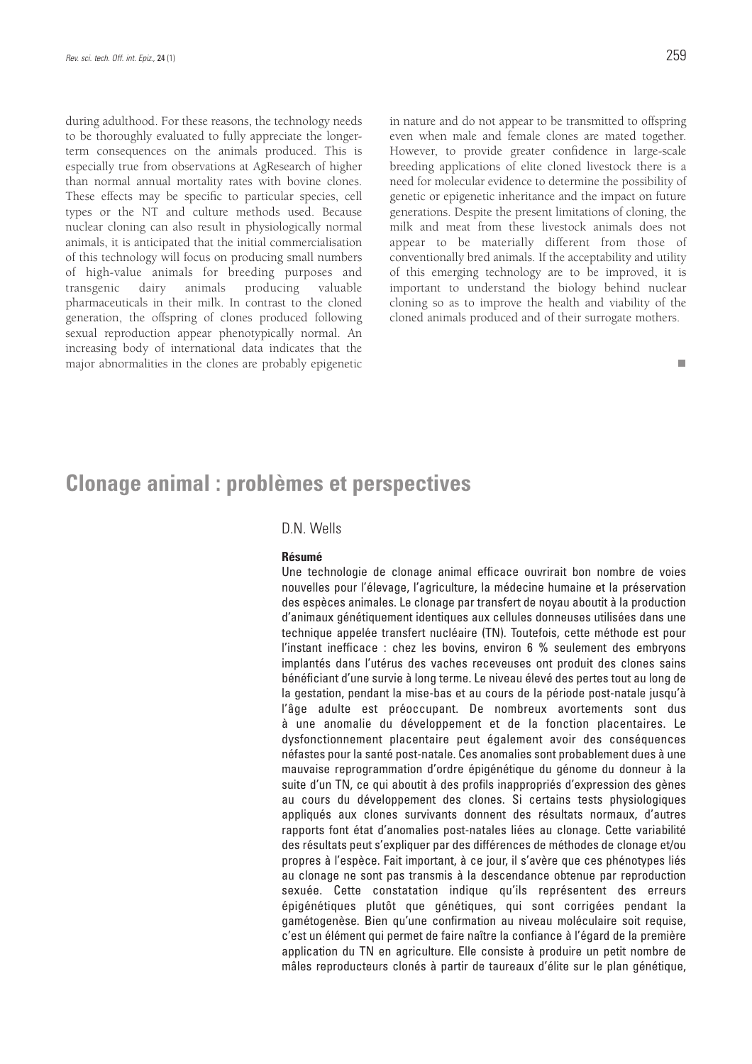during adulthood. For these reasons, the technology needs to be thoroughly evaluated to fully appreciate the longerterm consequences on the animals produced. This is especially true from observations at AgResearch of higher than normal annual mortality rates with bovine clones. These effects may be specific to particular species, cell types or the NT and culture methods used. Because nuclear cloning can also result in physiologically normal animals, it is anticipated that the initial commercialisation of this technology will focus on producing small numbers of high-value animals for breeding purposes and transgenic dairy animals producing valuable pharmaceuticals in their milk. In contrast to the cloned generation, the offspring of clones produced following sexual reproduction appear phenotypically normal. An increasing body of international data indicates that the major abnormalities in the clones are probably epigenetic

in nature and do not appear to be transmitted to offspring even when male and female clones are mated together. However, to provide greater confidence in large-scale breeding applications of elite cloned livestock there is a need for molecular evidence to determine the possibility of genetic or epigenetic inheritance and the impact on future generations. Despite the present limitations of cloning, the milk and meat from these livestock animals does not appear to be materially different from those of conventionally bred animals. If the acceptability and utility of this emerging technology are to be improved, it is important to understand the biology behind nuclear cloning so as to improve the health and viability of the cloned animals produced and of their surrogate mothers.

## **Clonage animal : problèmes et perspectives**

### D.N. Wells

#### **Résumé**

Une technologie de clonage animal efficace ouvrirait bon nombre de voies nouvelles pour l'élevage, l'agriculture, la médecine humaine et la préservation des espèces animales. Le clonage par transfert de noyau aboutit à la production d'animaux génétiquement identiques aux cellules donneuses utilisées dans une technique appelée transfert nucléaire (TN). Toutefois, cette méthode est pour l'instant inefficace : chez les bovins, environ 6 % seulement des embryons implantés dans l'utérus des vaches receveuses ont produit des clones sains bénéficiant d'une survie à long terme. Le niveau élevé des pertes tout au long de la gestation, pendant la mise-bas et au cours de la période post-natale jusqu'à l'âge adulte est préoccupant. De nombreux avortements sont dus à une anomalie du développement et de la fonction placentaires. Le dysfonctionnement placentaire peut également avoir des conséquences néfastes pour la santé post-natale. Ces anomalies sont probablement dues à une mauvaise reprogrammation d'ordre épigénétique du génome du donneur à la suite d'un TN, ce qui aboutit à des profils inappropriés d'expression des gènes au cours du développement des clones. Si certains tests physiologiques appliqués aux clones survivants donnent des résultats normaux, d'autres rapports font état d'anomalies post-natales liées au clonage. Cette variabilité des résultats peut s'expliquer par des différences de méthodes de clonage et/ou propres à l'espèce. Fait important, à ce jour, il s'avère que ces phénotypes liés au clonage ne sont pas transmis à la descendance obtenue par reproduction sexuée. Cette constatation indique qu'ils représentent des erreurs épigénétiques plutôt que génétiques, qui sont corrigées pendant la gamétogenèse. Bien qu'une confirmation au niveau moléculaire soit requise, c'est un élément qui permet de faire naître la confiance à l'égard de la première application du TN en agriculture. Elle consiste à produire un petit nombre de mâles reproducteurs clonés à partir de taureaux d'élite sur le plan génétique,

П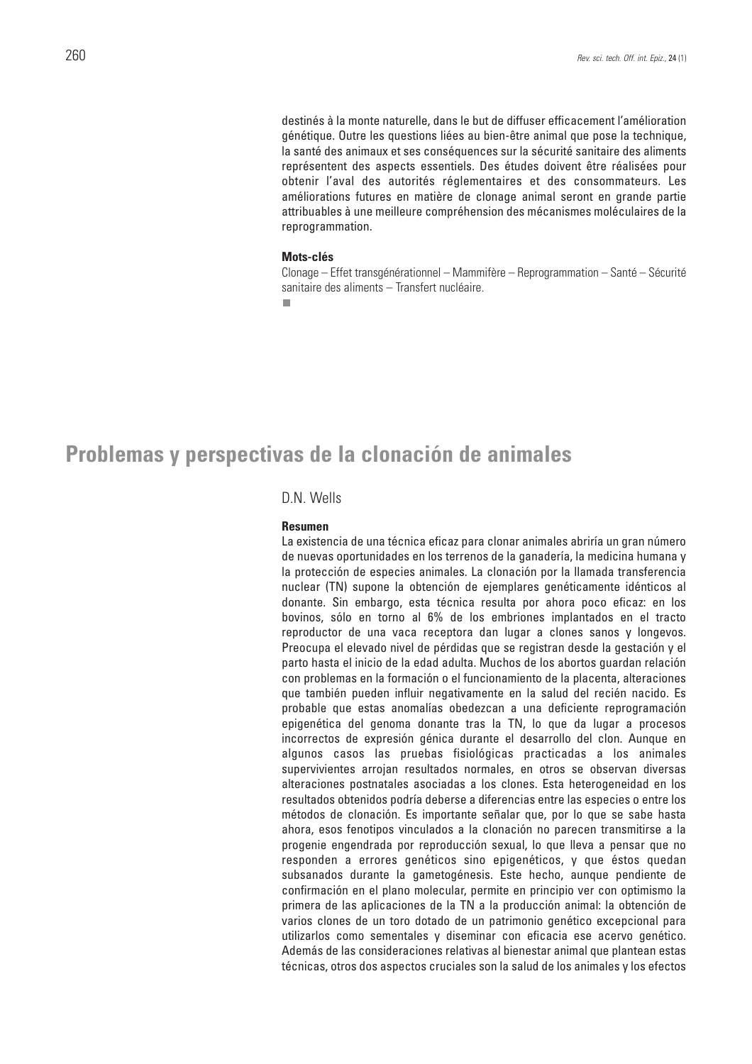destinés à la monte naturelle, dans le but de diffuser efficacement l'amélioration génétique. Outre les questions liées au bien-être animal que pose la technique, la santé des animaux et ses conséquences sur la sécurité sanitaire des aliments représentent des aspects essentiels. Des études doivent être réalisées pour obtenir l'aval des autorités réglementaires et des consommateurs. Les améliorations futures en matière de clonage animal seront en grande partie attribuables à une meilleure compréhension des mécanismes moléculaires de la reprogrammation.

#### **Mots-clés**

Clonage – Effet transgénérationnel – Mammifère – Reprogrammation – Santé – Sécurité sanitaire des aliments – Transfert nucléaire.

п

## **Problemas y perspectivas de la clonación de animales**

### D.N. Wells

### **Resumen**

La existencia de una técnica eficaz para clonar animales abriría un gran número de nuevas oportunidades en los terrenos de la ganadería, la medicina humana y la protección de especies animales. La clonación por la llamada transferencia nuclear (TN) supone la obtención de ejemplares genéticamente idénticos al donante. Sin embargo, esta técnica resulta por ahora poco eficaz: en los bovinos, sólo en torno al 6% de los embriones implantados en el tracto reproductor de una vaca receptora dan lugar a clones sanos y longevos. Preocupa el elevado nivel de pérdidas que se registran desde la gestación y el parto hasta el inicio de la edad adulta. Muchos de los abortos guardan relación con problemas en la formación o el funcionamiento de la placenta, alteraciones que también pueden influir negativamente en la salud del recién nacido. Es probable que estas anomalías obedezcan a una deficiente reprogramación epigenética del genoma donante tras la TN, lo que da lugar a procesos incorrectos de expresión génica durante el desarrollo del clon. Aunque en algunos casos las pruebas fisiológicas practicadas a los animales supervivientes arrojan resultados normales, en otros se observan diversas alteraciones postnatales asociadas a los clones. Esta heterogeneidad en los resultados obtenidos podría deberse a diferencias entre las especies o entre los métodos de clonación. Es importante señalar que, por lo que se sabe hasta ahora, esos fenotipos vinculados a la clonación no parecen transmitirse a la progenie engendrada por reproducción sexual, lo que lleva a pensar que no responden a errores genéticos sino epigenéticos, y que éstos quedan subsanados durante la gametogénesis. Este hecho, aunque pendiente de confirmación en el plano molecular, permite en principio ver con optimismo la primera de las aplicaciones de la TN a la producción animal: la obtención de varios clones de un toro dotado de un patrimonio genético excepcional para utilizarlos como sementales y diseminar con eficacia ese acervo genético. Además de las consideraciones relativas al bienestar animal que plantean estas técnicas, otros dos aspectos cruciales son la salud de los animales y los efectos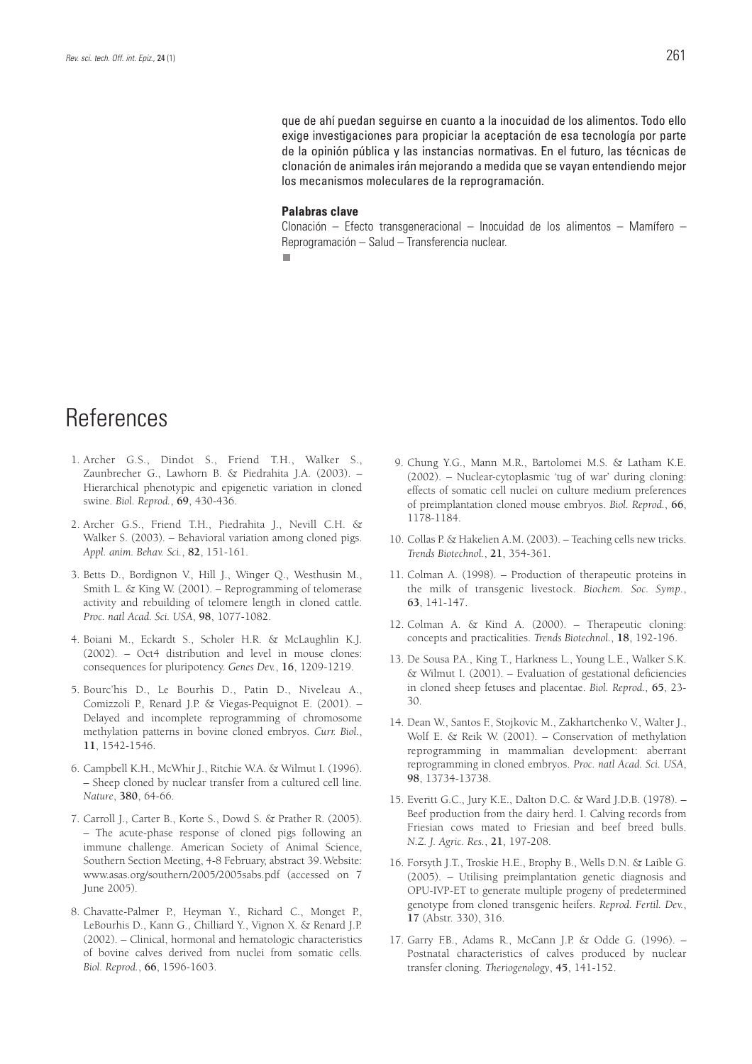que de ahí puedan seguirse en cuanto a la inocuidad de los alimentos. Todo ello exige investigaciones para propiciar la aceptación de esa tecnología por parte de la opinión pública y las instancias normativas. En el futuro, las técnicas de clonación de animales irán mejorando a medida que se vayan entendiendo mejor los mecanismos moleculares de la reprogramación.

#### **Palabras clave**

Clonación – Efecto transgeneracional – Inocuidad de los alimentos – Mamífero – Reprogramación – Salud – Transferencia nuclear.п

# **References**

- 1. Archer G.S., Dindot S., Friend T.H., Walker S., Zaunbrecher G., Lawhorn B. & Piedrahita J.A. (2003). – Hierarchical phenotypic and epigenetic variation in cloned swine. *Biol. Reprod.*, **69**, 430-436.
- 2. Archer G.S., Friend T.H., Piedrahita J., Nevill C.H. & Walker S. (2003). – Behavioral variation among cloned pigs. *Appl. anim. Behav. Sci.*, **82**, 151-161.
- 3. Betts D., Bordignon V., Hill J., Winger Q., Westhusin M., Smith L. & King W. (2001). – Reprogramming of telomerase activity and rebuilding of telomere length in cloned cattle. *Proc. natl Acad. Sci. USA*, **98**, 1077-1082.
- 4. Boiani M., Eckardt S., Scholer H.R. & McLaughlin K.J. (2002). – Oct4 distribution and level in mouse clones: consequences for pluripotency. *Genes Dev.*, **16**, 1209-1219.
- 5. Bourc'his D., Le Bourhis D., Patin D., Niveleau A., Comizzoli P., Renard J.P. & Viegas-Pequignot E. (2001). – Delayed and incomplete reprogramming of chromosome methylation patterns in bovine cloned embryos. *Curr. Biol.*, **11**, 1542-1546.
- 6. Campbell K.H., McWhir J., Ritchie W.A. & Wilmut I. (1996). – Sheep cloned by nuclear transfer from a cultured cell line. *Nature*, **380**, 64-66.
- 7. Carroll J., Carter B., Korte S., Dowd S. & Prather R. (2005). – The acute-phase response of cloned pigs following an immune challenge. American Society of Animal Science, Southern Section Meeting, 4-8 February, abstract 39.Website: www.asas.org/southern/2005/2005sabs.pdf (accessed on 7 June 2005).
- 8. Chavatte-Palmer P., Heyman Y., Richard C., Monget P., LeBourhis D., Kann G., Chilliard Y., Vignon X. & Renard J.P. (2002). – Clinical, hormonal and hematologic characteristics of bovine calves derived from nuclei from somatic cells. *Biol. Reprod.*, **66**, 1596-1603.
- 9. Chung Y.G., Mann M.R., Bartolomei M.S. & Latham K.E. (2002). – Nuclear-cytoplasmic 'tug of war' during cloning: effects of somatic cell nuclei on culture medium preferences of preimplantation cloned mouse embryos. *Biol. Reprod.*, **66**, 1178-1184.
- 10. Collas P. & Hakelien A.M. (2003). Teaching cells new tricks. *Trends Biotechnol.*, **21**, 354-361.
- 11. Colman A. (1998). Production of therapeutic proteins in the milk of transgenic livestock. *Biochem*. *Soc. Symp*., **63**, 141-147.
- 12. Colman A. & Kind A. (2000). Therapeutic cloning: concepts and practicalities. *Trends Biotechnol.*, **18**, 192-196.
- 13. De Sousa P.A., King T., Harkness L., Young L.E., Walker S.K. & Wilmut I. (2001). – Evaluation of gestational deficiencies in cloned sheep fetuses and placentae. *Biol. Reprod.*, **65**, 23- 30.
- 14. Dean W., Santos F., Stojkovic M., Zakhartchenko V., Walter J., Wolf E. & Reik W. (2001). – Conservation of methylation reprogramming in mammalian development: aberrant reprogramming in cloned embryos. *Proc. natl Acad. Sci. USA*, **98**, 13734-13738.
- 15. Everitt G.C., Jury K.E., Dalton D.C. & Ward J.D.B. (1978). Beef production from the dairy herd. I. Calving records from Friesian cows mated to Friesian and beef breed bulls. *N.Z. J. Agric. Res.*, **21**, 197-208.
- 16. Forsyth J.T., Troskie H.E., Brophy B., Wells D.N. & Laible G. (2005). – Utilising preimplantation genetic diagnosis and OPU-IVP-ET to generate multiple progeny of predetermined genotype from cloned transgenic heifers. *Reprod. Fertil. Dev.*, **17** (Abstr. 330), 316.
- 17. Garry F.B., Adams R., McCann J.P. & Odde G. (1996). Postnatal characteristics of calves produced by nuclear transfer cloning. *Theriogenology*, **45**, 141-152.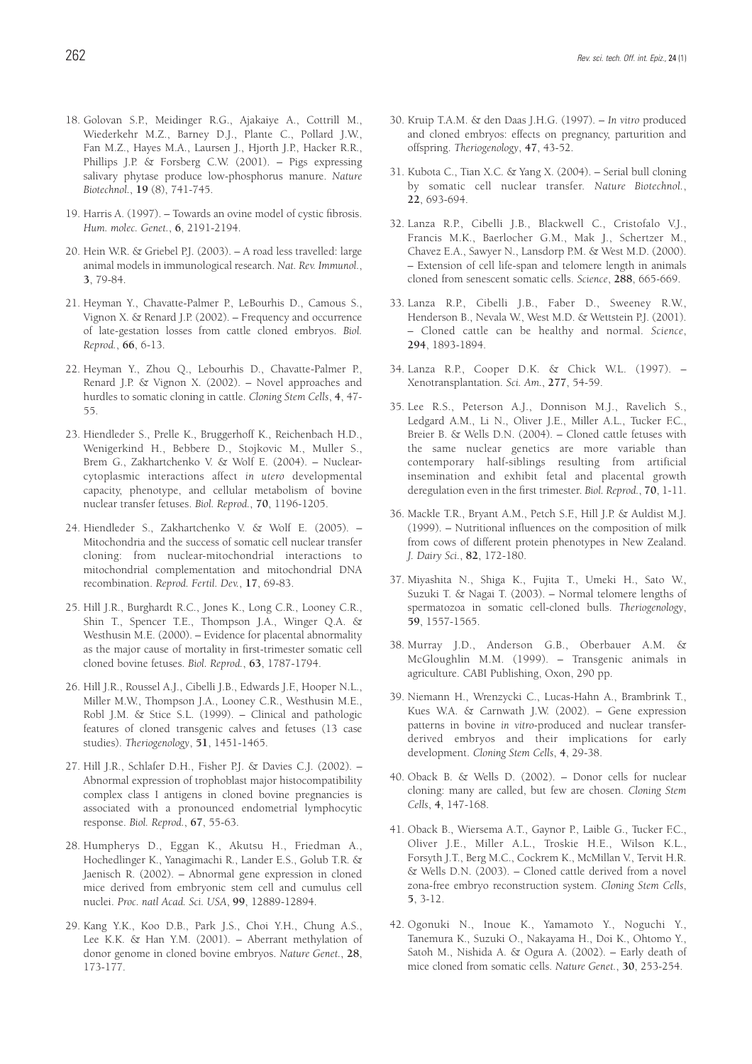- 18. Golovan S.P., Meidinger R.G., Ajakaiye A., Cottrill M., Wiederkehr M.Z., Barney D.J., Plante C., Pollard J.W., Fan M.Z., Hayes M.A., Laursen J., Hjorth J.P., Hacker R.R., Phillips J.P. & Forsberg C.W. (2001). – Pigs expressing salivary phytase produce low-phosphorus manure. *Nature Biotechnol.*, **19** (8), 741-745.
- 19. Harris A. (1997). Towards an ovine model of cystic fibrosis. *Hum. molec. Genet.*, **6**, 2191-2194.
- 20. Hein W.R. & Griebel P.J. (2003). A road less travelled: large animal models in immunological research. *Nat. Rev. Immunol.*, **3**, 79-84.
- 21. Heyman Y., Chavatte-Palmer P., LeBourhis D., Camous S., Vignon X. & Renard J.P. (2002). – Frequency and occurrence of late-gestation losses from cattle cloned embryos. *Biol. Reprod.*, **66**, 6-13.
- 22. Heyman Y., Zhou Q., Lebourhis D., Chavatte-Palmer P., Renard J.P. & Vignon X. (2002). – Novel approaches and hurdles to somatic cloning in cattle. *Cloning Stem Cells*, **4**, 47- 55.
- 23. Hiendleder S., Prelle K., Bruggerhoff K., Reichenbach H.D., Wenigerkind H., Bebbere D., Stojkovic M., Muller S., Brem G., Zakhartchenko V. & Wolf E. (2004). – Nuclearcytoplasmic interactions affect *in utero* developmental capacity, phenotype, and cellular metabolism of bovine nuclear transfer fetuses. *Biol. Reprod.*, **70**, 1196-1205.
- 24. Hiendleder S., Zakhartchenko V. & Wolf E. (2005). Mitochondria and the success of somatic cell nuclear transfer cloning: from nuclear-mitochondrial interactions to mitochondrial complementation and mitochondrial DNA recombination. *Reprod. Fertil. Dev.*, **17**, 69-83.
- 25. Hill J.R., Burghardt R.C., Jones K., Long C.R., Looney C.R., Shin T., Spencer T.E., Thompson J.A., Winger Q.A. & Westhusin M.E. (2000). – Evidence for placental abnormality as the major cause of mortality in first-trimester somatic cell cloned bovine fetuses. *Biol. Reprod.*, **63**, 1787-1794.
- 26. Hill J.R., Roussel A.J., Cibelli J.B., Edwards J.F., Hooper N.L., Miller M.W., Thompson J.A., Looney C.R., Westhusin M.E., Robl J.M. & Stice S.L. (1999). – Clinical and pathologic features of cloned transgenic calves and fetuses (13 case studies). *Theriogenology*, **51**, 1451-1465.
- 27. Hill J.R., Schlafer D.H., Fisher P.J. & Davies C.J. (2002). Abnormal expression of trophoblast major histocompatibility complex class I antigens in cloned bovine pregnancies is associated with a pronounced endometrial lymphocytic response. *Biol. Reprod.*, **67**, 55-63.
- 28. Humpherys D., Eggan K., Akutsu H., Friedman A., Hochedlinger K., Yanagimachi R., Lander E.S., Golub T.R. & Jaenisch R. (2002). – Abnormal gene expression in cloned mice derived from embryonic stem cell and cumulus cell nuclei. *Proc. natl Acad. Sci. USA*, **99**, 12889-12894.
- 29. Kang Y.K., Koo D.B., Park J.S., Choi Y.H., Chung A.S., Lee K.K. & Han Y.M. (2001). – Aberrant methylation of donor genome in cloned bovine embryos. *Nature Genet.*, **28**, 173-177.
- 30. Kruip T.A.M. & den Daas J.H.G. (1997). *In vitro* produced and cloned embryos: effects on pregnancy, parturition and offspring. *Theriogenology*, **47**, 43-52.
- 31. Kubota C., Tian X.C. & Yang X. (2004). Serial bull cloning by somatic cell nuclear transfer. *Nature Biotechnol.*, **22**, 693-694.
- 32. Lanza R.P., Cibelli J.B., Blackwell C., Cristofalo V.J., Francis M.K., Baerlocher G.M., Mak J., Schertzer M., Chavez E.A., Sawyer N., Lansdorp P.M. & West M.D. (2000). – Extension of cell life-span and telomere length in animals cloned from senescent somatic cells. *Science*, **288**, 665-669.
- 33. Lanza R.P., Cibelli J.B., Faber D., Sweeney R.W., Henderson B., Nevala W., West M.D. & Wettstein P.J. (2001). – Cloned cattle can be healthy and normal. *Science*, **294**, 1893-1894.
- 34. Lanza R.P., Cooper D.K. & Chick W.L. (1997). Xenotransplantation. *Sci. Am.*, **277**, 54-59.
- 35. Lee R.S., Peterson A.J., Donnison M.J., Ravelich S., Ledgard A.M., Li N., Oliver J.E., Miller A.L., Tucker F.C., Breier B. & Wells D.N. (2004). – Cloned cattle fetuses with the same nuclear genetics are more variable than contemporary half-siblings resulting from artificial insemination and exhibit fetal and placental growth deregulation even in the first trimester. *Biol. Reprod.*, **70**, 1-11.
- 36. Mackle T.R., Bryant A.M., Petch S.F., Hill J.P. & Auldist M.J. (1999). – Nutritional influences on the composition of milk from cows of different protein phenotypes in New Zealand. *J. Dairy Sci.*, **82**, 172-180.
- 37. Miyashita N., Shiga K., Fujita T., Umeki H., Sato W., Suzuki T. & Nagai T. (2003). – Normal telomere lengths of spermatozoa in somatic cell-cloned bulls. *Theriogenology*, **59**, 1557-1565.
- 38. Murray J.D., Anderson G.B., Oberbauer A.M. & McGloughlin M.M. (1999). – Transgenic animals in agriculture. CABI Publishing, Oxon, 290 pp.
- 39. Niemann H., Wrenzycki C., Lucas-Hahn A., Brambrink T., Kues W.A. & Carnwath J.W. (2002). – Gene expression patterns in bovine *in vitro*-produced and nuclear transferderived embryos and their implications for early development. *Cloning Stem Cells*, **4**, 29-38.
- 40. Oback B. & Wells D. (2002). Donor cells for nuclear cloning: many are called, but few are chosen. *Cloning Stem Cells*, **4**, 147-168.
- 41. Oback B., Wiersema A.T., Gaynor P., Laible G., Tucker F.C., Oliver J.E., Miller A.L., Troskie H.E., Wilson K.L., Forsyth J.T., Berg M.C., Cockrem K., McMillan V., Tervit H.R. & Wells D.N. (2003). – Cloned cattle derived from a novel zona-free embryo reconstruction system. *Cloning Stem Cells*, **5**, 3-12.
- 42. Ogonuki N., Inoue K., Yamamoto Y., Noguchi Y., Tanemura K., Suzuki O., Nakayama H., Doi K., Ohtomo Y., Satoh M., Nishida A. & Ogura A. (2002). – Early death of mice cloned from somatic cells. *Nature Genet.*, **30**, 253-254.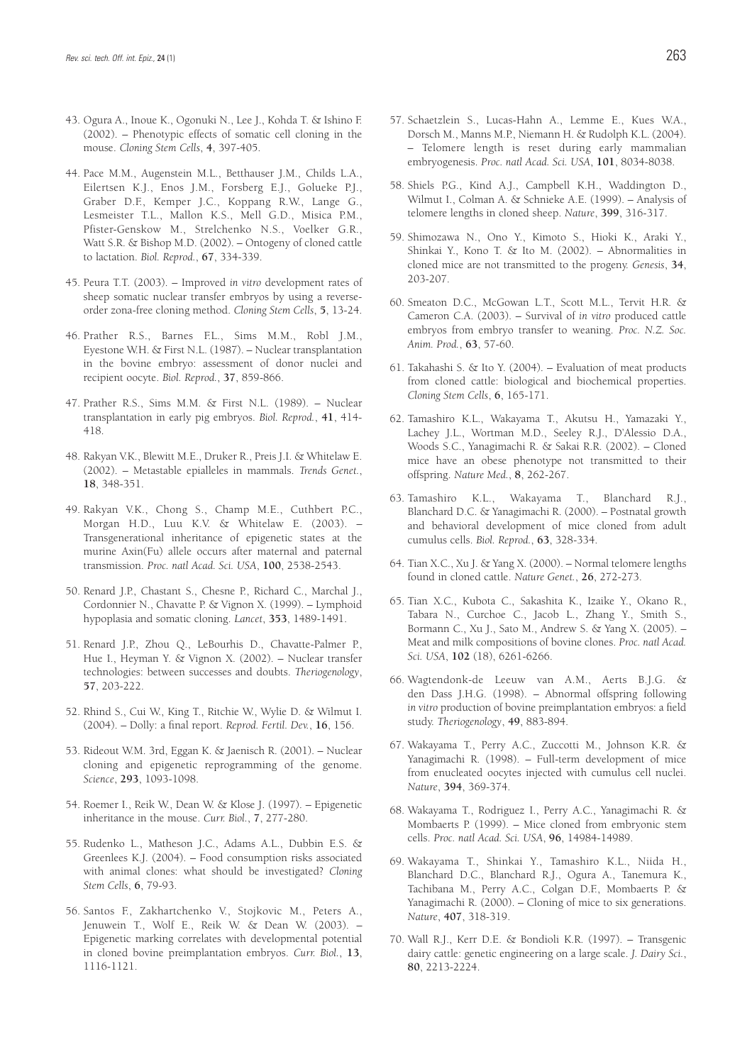- 43. Ogura A., Inoue K., Ogonuki N., Lee J., Kohda T. & Ishino F. (2002). – Phenotypic effects of somatic cell cloning in the mouse. *Cloning Stem Cells*, **4**, 397-405.
- 44. Pace M.M., Augenstein M.L., Betthauser J.M., Childs L.A., Eilertsen K.J., Enos J.M., Forsberg E.J., Golueke P.J., Graber D.F., Kemper J.C., Koppang R.W., Lange G., Lesmeister T.L., Mallon K.S., Mell G.D., Misica P.M., Pfister-Genskow M., Strelchenko N.S., Voelker G.R., Watt S.R. & Bishop M.D. (2002). – Ontogeny of cloned cattle to lactation. *Biol. Reprod.*, **67**, 334-339.
- 45. Peura T.T. (2003). Improved *in vitro* development rates of sheep somatic nuclear transfer embryos by using a reverseorder zona-free cloning method. *Cloning Stem Cells*, **5**, 13-24.
- 46. Prather R.S., Barnes F.L., Sims M.M., Robl J.M., Eyestone W.H. & First N.L. (1987). – Nuclear transplantation in the bovine embryo: assessment of donor nuclei and recipient oocyte. *Biol. Reprod.*, **37**, 859-866.
- 47. Prather R.S., Sims M.M. & First N.L. (1989). Nuclear transplantation in early pig embryos. *Biol. Reprod.*, **41**, 414- 418.
- 48. Rakyan V.K., Blewitt M.E., Druker R., Preis J.I. & Whitelaw E. (2002). – Metastable epialleles in mammals. *Trends Genet.*, **18**, 348-351.
- 49. Rakyan V.K., Chong S., Champ M.E., Cuthbert P.C., Morgan H.D., Luu K.V. & Whitelaw E. (2003). – Transgenerational inheritance of epigenetic states at the murine Axin(Fu) allele occurs after maternal and paternal transmission. *Proc. natl Acad. Sci. USA*, **100**, 2538-2543.
- 50. Renard J.P., Chastant S., Chesne P., Richard C., Marchal J., Cordonnier N., Chavatte P. & Vignon X. (1999). – Lymphoid hypoplasia and somatic cloning. *Lancet*, **353**, 1489-1491.
- 51. Renard J.P., Zhou Q., LeBourhis D., Chavatte-Palmer P., Hue I., Heyman Y. & Vignon X. (2002). – Nuclear transfer technologies: between successes and doubts. *Theriogenology*, **57**, 203-222.
- 52. Rhind S., Cui W., King T., Ritchie W., Wylie D. & Wilmut I. (2004). – Dolly: a final report. *Reprod. Fertil. Dev.*, **16**, 156.
- 53. Rideout W.M. 3rd, Eggan K. & Jaenisch R. (2001). Nuclear cloning and epigenetic reprogramming of the genome. *Science*, **293**, 1093-1098.
- 54. Roemer I., Reik W., Dean W. & Klose J. (1997). Epigenetic inheritance in the mouse. *Curr. Biol.*, **7**, 277-280.
- 55. Rudenko L., Matheson J.C., Adams A.L., Dubbin E.S. & Greenlees K.J. (2004). – Food consumption risks associated with animal clones: what should be investigated? *Cloning Stem Cells*, **6**, 79-93.
- 56. Santos F., Zakhartchenko V., Stojkovic M., Peters A., Jenuwein T., Wolf E., Reik W. & Dean W. (2003). – Epigenetic marking correlates with developmental potential in cloned bovine preimplantation embryos. *Curr. Biol.*, **13**, 1116-1121.
- 57. Schaetzlein S., Lucas-Hahn A., Lemme E., Kues W.A., Dorsch M., Manns M.P., Niemann H. & Rudolph K.L. (2004). – Telomere length is reset during early mammalian embryogenesis. *Proc. natl Acad. Sci. USA*, **101**, 8034-8038.
- 58. Shiels P.G., Kind A.J., Campbell K.H., Waddington D., Wilmut I., Colman A. & Schnieke A.E. (1999). – Analysis of telomere lengths in cloned sheep. *Nature*, **399**, 316-317.
- 59. Shimozawa N., Ono Y., Kimoto S., Hioki K., Araki Y., Shinkai Y., Kono T. & Ito M. (2002). – Abnormalities in cloned mice are not transmitted to the progeny. *Genesis*, **34**, 203-207.
- 60. Smeaton D.C., McGowan L.T., Scott M.L., Tervit H.R. & Cameron C.A. (2003). – Survival of *in vitro* produced cattle embryos from embryo transfer to weaning. *Proc. N.Z. Soc. Anim. Prod.*, **63**, 57-60.
- 61. Takahashi S. & Ito Y. (2004). Evaluation of meat products from cloned cattle: biological and biochemical properties. *Cloning Stem Cells*, **6**, 165-171.
- 62. Tamashiro K.L., Wakayama T., Akutsu H., Yamazaki Y., Lachey J.L., Wortman M.D., Seeley R.J., D'Alessio D.A., Woods S.C., Yanagimachi R. & Sakai R.R. (2002). – Cloned mice have an obese phenotype not transmitted to their offspring. *Nature Med.*, **8**, 262-267.
- 63. Tamashiro K.L., Wakayama T., Blanchard R.J., Blanchard D.C. & Yanagimachi R. (2000). – Postnatal growth and behavioral development of mice cloned from adult cumulus cells. *Biol. Reprod.*, **63**, 328-334.
- 64. Tian X.C., Xu J. & Yang X. (2000). Normal telomere lengths found in cloned cattle. *Nature Genet.*, **26**, 272-273.
- 65. Tian X.C., Kubota C., Sakashita K., Izaike Y., Okano R., Tabara N., Curchoe C., Jacob L., Zhang Y., Smith S., Bormann C., Xu J., Sato M., Andrew S. & Yang X. (2005). – Meat and milk compositions of bovine clones. *Proc. natl Acad. Sci. USA*, **102** (18), 6261-6266.
- 66. Wagtendonk-de Leeuw van A.M., Aerts B.J.G. & den Dass J.H.G. (1998). – Abnormal offspring following *in vitro* production of bovine preimplantation embryos: a field study. *Theriogenology*, **49**, 883-894.
- 67. Wakayama T., Perry A.C., Zuccotti M., Johnson K.R. & Yanagimachi R. (1998). – Full-term development of mice from enucleated oocytes injected with cumulus cell nuclei. *Nature*, **394**, 369-374.
- 68. Wakayama T., Rodriguez I., Perry A.C., Yanagimachi R. & Mombaerts P. (1999). – Mice cloned from embryonic stem cells. *Proc. natl Acad. Sci. USA*, **96**, 14984-14989.
- 69. Wakayama T., Shinkai Y., Tamashiro K.L., Niida H., Blanchard D.C., Blanchard R.J., Ogura A., Tanemura K., Tachibana M., Perry A.C., Colgan D.F., Mombaerts P. & Yanagimachi R. (2000). – Cloning of mice to six generations. *Nature*, **407**, 318-319.
- 70. Wall R.J., Kerr D.E. & Bondioli K.R. (1997). Transgenic dairy cattle: genetic engineering on a large scale. *J. Dairy Sci.*, **80**, 2213-2224.